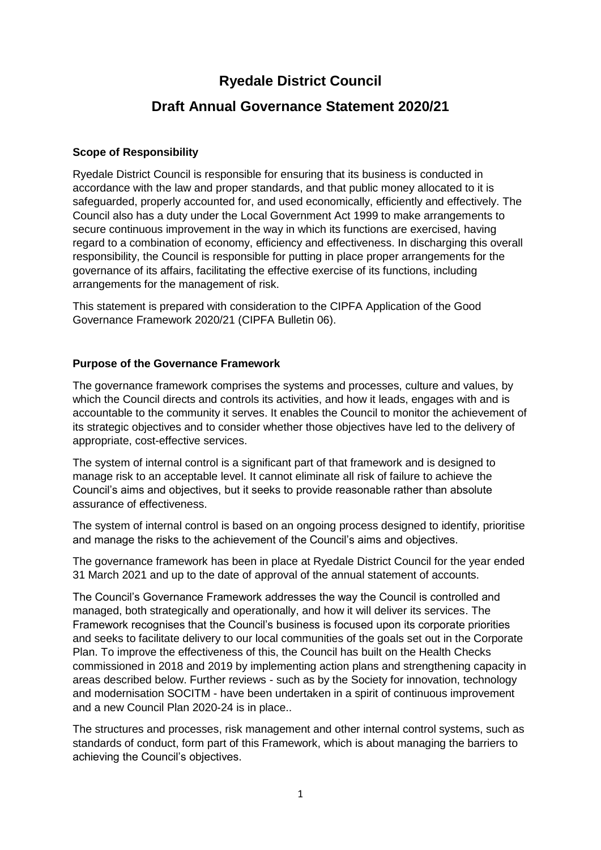# **Ryedale District Council**

## **Draft Annual Governance Statement 2020/21**

### **Scope of Responsibility**

Ryedale District Council is responsible for ensuring that its business is conducted in accordance with the law and proper standards, and that public money allocated to it is safeguarded, properly accounted for, and used economically, efficiently and effectively. The Council also has a duty under the Local Government Act 1999 to make arrangements to secure continuous improvement in the way in which its functions are exercised, having regard to a combination of economy, efficiency and effectiveness. In discharging this overall responsibility, the Council is responsible for putting in place proper arrangements for the governance of its affairs, facilitating the effective exercise of its functions, including arrangements for the management of risk.

This statement is prepared with consideration to the CIPFA Application of the Good Governance Framework 2020/21 (CIPFA Bulletin 06).

### **Purpose of the Governance Framework**

The governance framework comprises the systems and processes, culture and values, by which the Council directs and controls its activities, and how it leads, engages with and is accountable to the community it serves. It enables the Council to monitor the achievement of its strategic objectives and to consider whether those objectives have led to the delivery of appropriate, cost-effective services.

The system of internal control is a significant part of that framework and is designed to manage risk to an acceptable level. It cannot eliminate all risk of failure to achieve the Council's aims and objectives, but it seeks to provide reasonable rather than absolute assurance of effectiveness.

The system of internal control is based on an ongoing process designed to identify, prioritise and manage the risks to the achievement of the Council's aims and objectives.

The governance framework has been in place at Ryedale District Council for the year ended 31 March 2021 and up to the date of approval of the annual statement of accounts.

The Council's Governance Framework addresses the way the Council is controlled and managed, both strategically and operationally, and how it will deliver its services. The Framework recognises that the Council's business is focused upon its corporate priorities and seeks to facilitate delivery to our local communities of the goals set out in the Corporate Plan. To improve the effectiveness of this, the Council has built on the Health Checks commissioned in 2018 and 2019 by implementing action plans and strengthening capacity in areas described below. Further reviews - such as by the Society for innovation, technology and modernisation SOCITM - have been undertaken in a spirit of continuous improvement and a new Council Plan 2020-24 is in place..

The structures and processes, risk management and other internal control systems, such as standards of conduct, form part of this Framework, which is about managing the barriers to achieving the Council's objectives.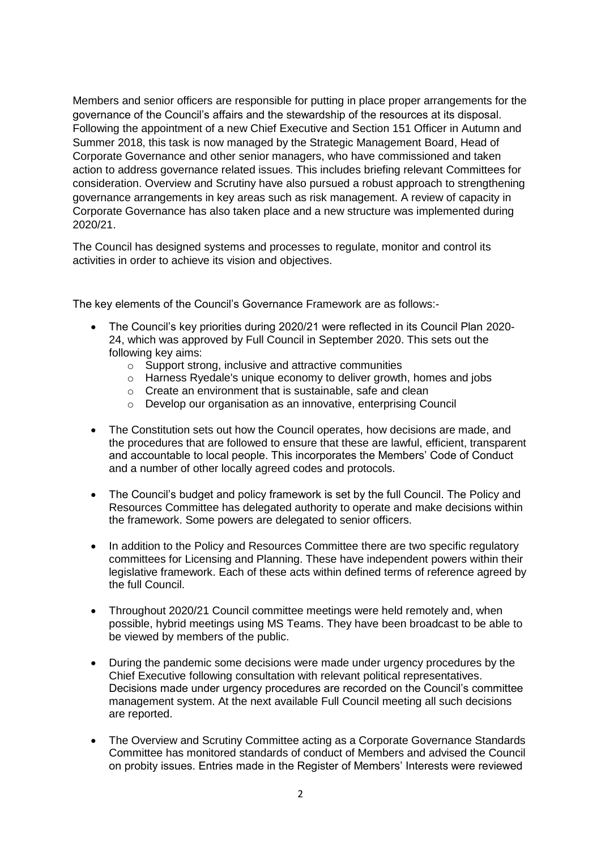Members and senior officers are responsible for putting in place proper arrangements for the governance of the Council's affairs and the stewardship of the resources at its disposal. Following the appointment of a new Chief Executive and Section 151 Officer in Autumn and Summer 2018, this task is now managed by the Strategic Management Board, Head of Corporate Governance and other senior managers, who have commissioned and taken action to address governance related issues. This includes briefing relevant Committees for consideration. Overview and Scrutiny have also pursued a robust approach to strengthening governance arrangements in key areas such as risk management. A review of capacity in Corporate Governance has also taken place and a new structure was implemented during 2020/21.

The Council has designed systems and processes to regulate, monitor and control its activities in order to achieve its vision and objectives.

The key elements of the Council's Governance Framework are as follows:-

- The Council's key priorities during 2020/21 were reflected in its Council Plan 2020- 24, which was approved by Full Council in September 2020. This sets out the following key aims:
	- o Support strong, inclusive and attractive communities
	- o Harness Ryedale's unique economy to deliver growth, homes and jobs
	- o Create an environment that is sustainable, safe and clean
	- o Develop our organisation as an innovative, enterprising Council
- The Constitution sets out how the Council operates, how decisions are made, and the procedures that are followed to ensure that these are lawful, efficient, transparent and accountable to local people. This incorporates the Members' Code of Conduct and a number of other locally agreed codes and protocols.
- The Council's budget and policy framework is set by the full Council. The Policy and Resources Committee has delegated authority to operate and make decisions within the framework. Some powers are delegated to senior officers.
- In addition to the Policy and Resources Committee there are two specific regulatory committees for Licensing and Planning. These have independent powers within their legislative framework. Each of these acts within defined terms of reference agreed by the full Council.
- Throughout 2020/21 Council committee meetings were held remotely and, when possible, hybrid meetings using MS Teams. They have been broadcast to be able to be viewed by members of the public.
- During the pandemic some decisions were made under urgency procedures by the Chief Executive following consultation with relevant political representatives. Decisions made under urgency procedures are recorded on the Council's committee management system. At the next available Full Council meeting all such decisions are reported.
- The Overview and Scrutiny Committee acting as a Corporate Governance Standards Committee has monitored standards of conduct of Members and advised the Council on probity issues. Entries made in the Register of Members' Interests were reviewed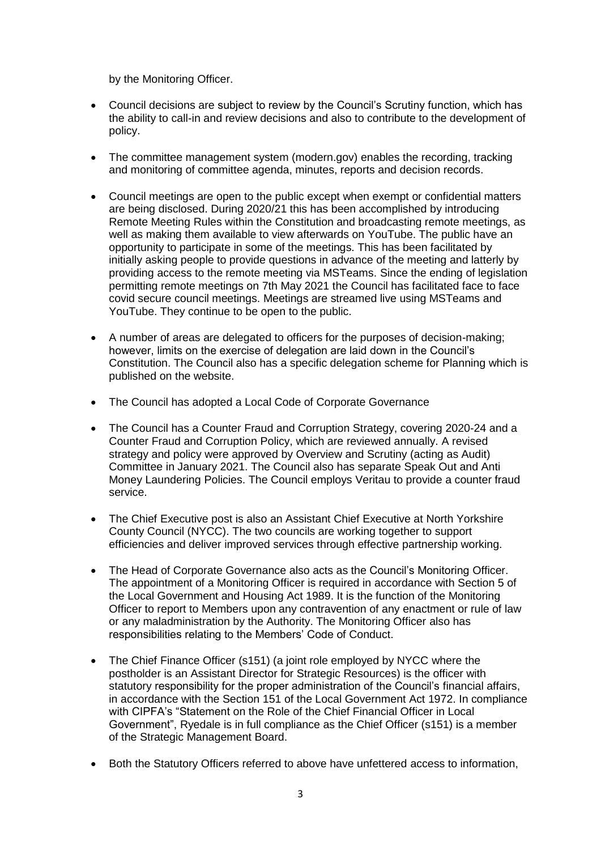by the Monitoring Officer.

- Council decisions are subject to review by the Council's Scrutiny function, which has the ability to call-in and review decisions and also to contribute to the development of policy.
- The committee management system (modern.gov) enables the recording, tracking and monitoring of committee agenda, minutes, reports and decision records.
- Council meetings are open to the public except when exempt or confidential matters are being disclosed. During 2020/21 this has been accomplished by introducing Remote Meeting Rules within the Constitution and broadcasting remote meetings, as well as making them available to view afterwards on YouTube. The public have an opportunity to participate in some of the meetings. This has been facilitated by initially asking people to provide questions in advance of the meeting and latterly by providing access to the remote meeting via MSTeams. Since the ending of legislation permitting remote meetings on 7th May 2021 the Council has facilitated face to face covid secure council meetings. Meetings are streamed live using MSTeams and YouTube. They continue to be open to the public.
- A number of areas are delegated to officers for the purposes of decision-making; however, limits on the exercise of delegation are laid down in the Council's Constitution. The Council also has a specific delegation scheme for Planning which is published on the website.
- The Council has adopted a Local Code of Corporate Governance
- The Council has a Counter Fraud and Corruption Strategy, covering 2020-24 and a Counter Fraud and Corruption Policy, which are reviewed annually. A revised strategy and policy were approved by Overview and Scrutiny (acting as Audit) Committee in January 2021. The Council also has separate Speak Out and Anti Money Laundering Policies. The Council employs Veritau to provide a counter fraud service.
- The Chief Executive post is also an Assistant Chief Executive at North Yorkshire County Council (NYCC). The two councils are working together to support efficiencies and deliver improved services through effective partnership working.
- The Head of Corporate Governance also acts as the Council's Monitoring Officer. The appointment of a Monitoring Officer is required in accordance with Section 5 of the Local Government and Housing Act 1989. It is the function of the Monitoring Officer to report to Members upon any contravention of any enactment or rule of law or any maladministration by the Authority. The Monitoring Officer also has responsibilities relating to the Members' Code of Conduct.
- The Chief Finance Officer (s151) (a joint role employed by NYCC where the postholder is an Assistant Director for Strategic Resources) is the officer with statutory responsibility for the proper administration of the Council's financial affairs, in accordance with the Section 151 of the Local Government Act 1972. In compliance with CIPFA's "Statement on the Role of the Chief Financial Officer in Local Government", Ryedale is in full compliance as the Chief Officer (s151) is a member of the Strategic Management Board.
- Both the Statutory Officers referred to above have unfettered access to information,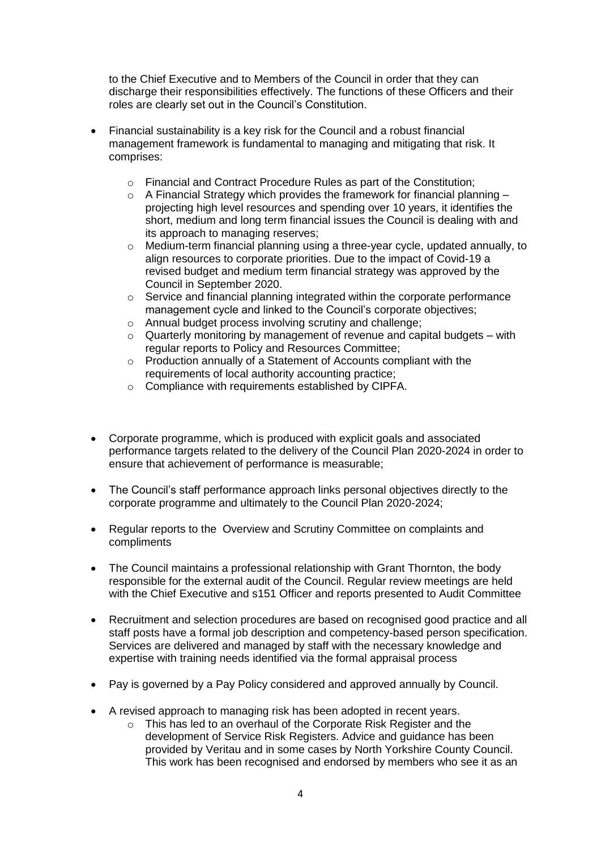to the Chief Executive and to Members of the Council in order that they can discharge their responsibilities effectively. The functions of these Officers and their roles are clearly set out in the Council's Constitution.

- Financial sustainability is a key risk for the Council and a robust financial management framework is fundamental to managing and mitigating that risk. It comprises:
	- o Financial and Contract Procedure Rules as part of the Constitution;
	- $\circ$  A Financial Strategy which provides the framework for financial planning projecting high level resources and spending over 10 years, it identifies the short, medium and long term financial issues the Council is dealing with and its approach to managing reserves;
	- $\circ$  Medium-term financial planning using a three-year cycle, updated annually, to align resources to corporate priorities. Due to the impact of Covid-19 a revised budget and medium term financial strategy was approved by the Council in September 2020.
	- $\circ$  Service and financial planning integrated within the corporate performance management cycle and linked to the Council's corporate objectives;
	- o Annual budget process involving scrutiny and challenge;
	- $\circ$  Quarterly monitoring by management of revenue and capital budgets with regular reports to Policy and Resources Committee;
	- o Production annually of a Statement of Accounts compliant with the requirements of local authority accounting practice;
	- o Compliance with requirements established by CIPFA.
- Corporate programme, which is produced with explicit goals and associated performance targets related to the delivery of the Council Plan 2020-2024 in order to ensure that achievement of performance is measurable;
- The Council's staff performance approach links personal objectives directly to the corporate programme and ultimately to the Council Plan 2020-2024;
- Regular reports to the Overview and Scrutiny Committee on complaints and compliments
- The Council maintains a professional relationship with Grant Thornton, the body responsible for the external audit of the Council. Regular review meetings are held with the Chief Executive and s151 Officer and reports presented to Audit Committee
- Recruitment and selection procedures are based on recognised good practice and all staff posts have a formal job description and competency-based person specification. Services are delivered and managed by staff with the necessary knowledge and expertise with training needs identified via the formal appraisal process
- Pay is governed by a Pay Policy considered and approved annually by Council.
- A revised approach to managing risk has been adopted in recent years.
	- o This has led to an overhaul of the Corporate Risk Register and the development of Service Risk Registers. Advice and guidance has been provided by Veritau and in some cases by North Yorkshire County Council. This work has been recognised and endorsed by members who see it as an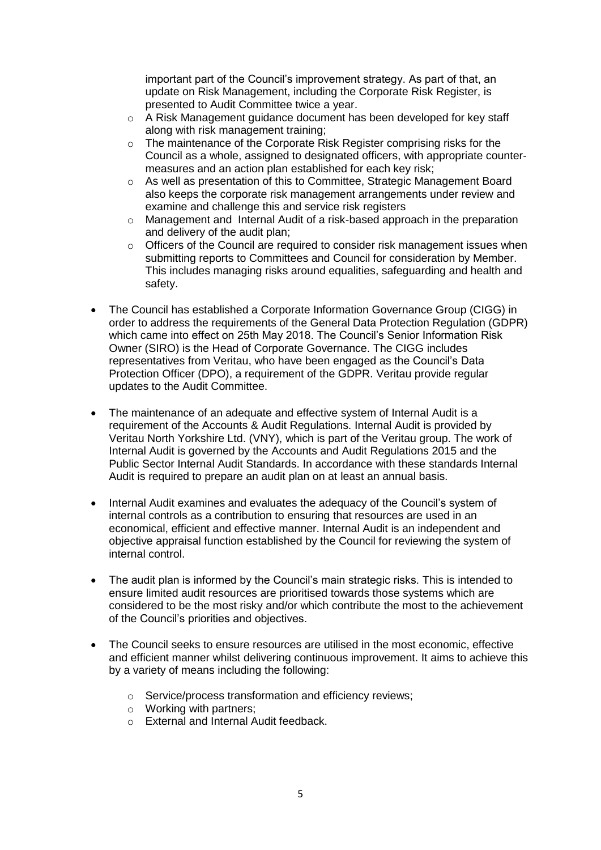important part of the Council's improvement strategy. As part of that, an update on Risk Management, including the Corporate Risk Register, is presented to Audit Committee twice a year.

- o A Risk Management guidance document has been developed for key staff along with risk management training;
- o The maintenance of the Corporate Risk Register comprising risks for the Council as a whole, assigned to designated officers, with appropriate countermeasures and an action plan established for each key risk;
- $\circ$  As well as presentation of this to Committee, Strategic Management Board also keeps the corporate risk management arrangements under review and examine and challenge this and service risk registers
- o Management and Internal Audit of a risk-based approach in the preparation and delivery of the audit plan;
- $\circ$  Officers of the Council are required to consider risk management issues when submitting reports to Committees and Council for consideration by Member. This includes managing risks around equalities, safeguarding and health and safety.
- The Council has established a Corporate Information Governance Group (CIGG) in order to address the requirements of the General Data Protection Regulation (GDPR) which came into effect on 25th May 2018. The Council's Senior Information Risk Owner (SIRO) is the Head of Corporate Governance. The CIGG includes representatives from Veritau, who have been engaged as the Council's Data Protection Officer (DPO), a requirement of the GDPR. Veritau provide regular updates to the Audit Committee.
- The maintenance of an adequate and effective system of Internal Audit is a requirement of the Accounts & Audit Regulations. Internal Audit is provided by Veritau North Yorkshire Ltd. (VNY), which is part of the Veritau group. The work of Internal Audit is governed by the Accounts and Audit Regulations 2015 and the Public Sector Internal Audit Standards. In accordance with these standards Internal Audit is required to prepare an audit plan on at least an annual basis.
- Internal Audit examines and evaluates the adequacy of the Council's system of internal controls as a contribution to ensuring that resources are used in an economical, efficient and effective manner. Internal Audit is an independent and objective appraisal function established by the Council for reviewing the system of internal control.
- The audit plan is informed by the Council's main strategic risks. This is intended to ensure limited audit resources are prioritised towards those systems which are considered to be the most risky and/or which contribute the most to the achievement of the Council's priorities and objectives.
- The Council seeks to ensure resources are utilised in the most economic, effective and efficient manner whilst delivering continuous improvement. It aims to achieve this by a variety of means including the following:
	- o Service/process transformation and efficiency reviews;
	- o Working with partners;
	- o External and Internal Audit feedback.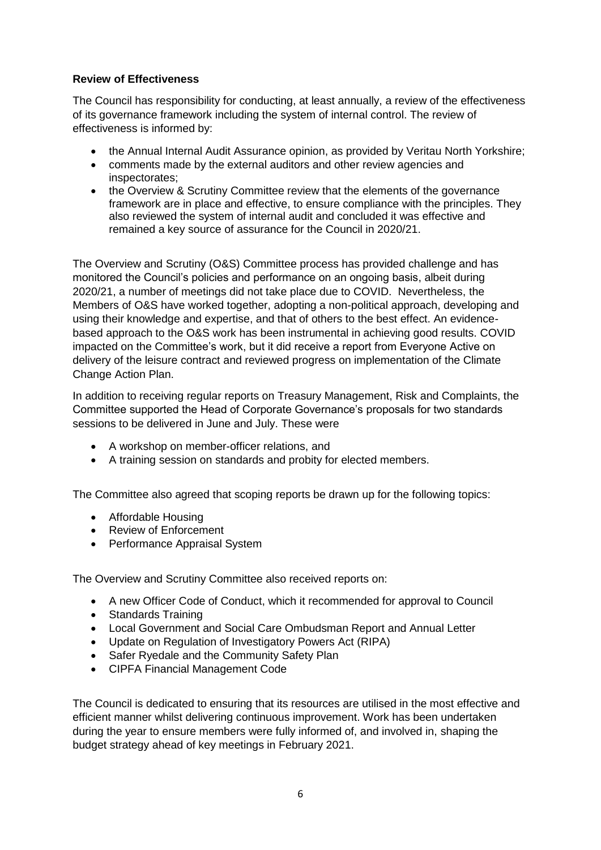### **Review of Effectiveness**

The Council has responsibility for conducting, at least annually, a review of the effectiveness of its governance framework including the system of internal control. The review of effectiveness is informed by:

- the Annual Internal Audit Assurance opinion, as provided by Veritau North Yorkshire;
- comments made by the external auditors and other review agencies and inspectorates;
- the Overview & Scrutiny Committee review that the elements of the governance framework are in place and effective, to ensure compliance with the principles. They also reviewed the system of internal audit and concluded it was effective and remained a key source of assurance for the Council in 2020/21.

The Overview and Scrutiny (O&S) Committee process has provided challenge and has monitored the Council's policies and performance on an ongoing basis, albeit during 2020/21, a number of meetings did not take place due to COVID. Nevertheless, the Members of O&S have worked together, adopting a non-political approach, developing and using their knowledge and expertise, and that of others to the best effect. An evidencebased approach to the O&S work has been instrumental in achieving good results. COVID impacted on the Committee's work, but it did receive a report from Everyone Active on delivery of the leisure contract and reviewed progress on implementation of the Climate Change Action Plan.

In addition to receiving regular reports on Treasury Management, Risk and Complaints, the Committee supported the Head of Corporate Governance's proposals for two standards sessions to be delivered in June and July. These were

- A workshop on member-officer relations, and
- A training session on standards and probity for elected members.

The Committee also agreed that scoping reports be drawn up for the following topics:

- Affordable Housing
- Review of Enforcement
- Performance Appraisal System

The Overview and Scrutiny Committee also received reports on:

- A new Officer Code of Conduct, which it recommended for approval to Council
- Standards Training
- Local Government and Social Care Ombudsman Report and Annual Letter
- Update on Regulation of Investigatory Powers Act (RIPA)
- Safer Ryedale and the Community Safety Plan
- CIPFA Financial Management Code

The Council is dedicated to ensuring that its resources are utilised in the most effective and efficient manner whilst delivering continuous improvement. Work has been undertaken during the year to ensure members were fully informed of, and involved in, shaping the budget strategy ahead of key meetings in February 2021.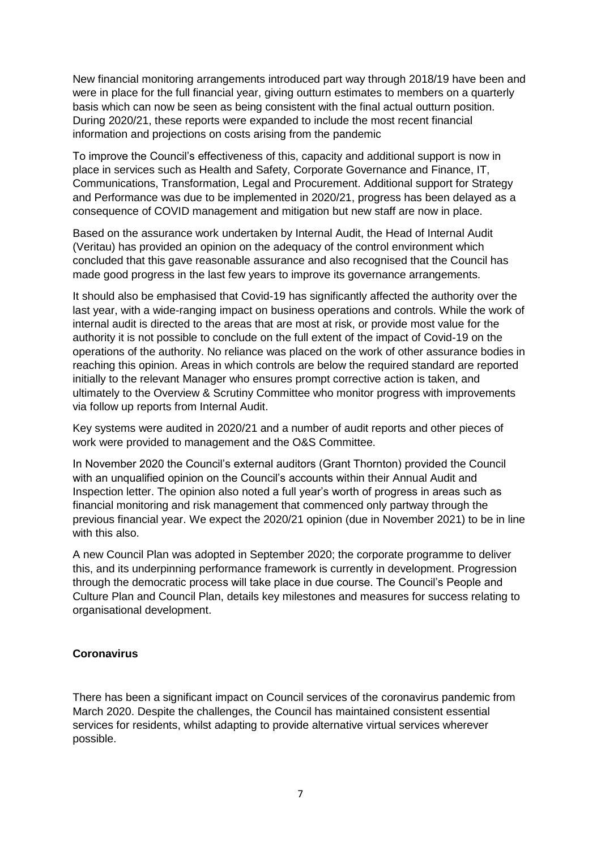New financial monitoring arrangements introduced part way through 2018/19 have been and were in place for the full financial year, giving outturn estimates to members on a quarterly basis which can now be seen as being consistent with the final actual outturn position. During 2020/21, these reports were expanded to include the most recent financial information and projections on costs arising from the pandemic

To improve the Council's effectiveness of this, capacity and additional support is now in place in services such as Health and Safety, Corporate Governance and Finance, IT, Communications, Transformation, Legal and Procurement. Additional support for Strategy and Performance was due to be implemented in 2020/21, progress has been delayed as a consequence of COVID management and mitigation but new staff are now in place.

Based on the assurance work undertaken by Internal Audit, the Head of Internal Audit (Veritau) has provided an opinion on the adequacy of the control environment which concluded that this gave reasonable assurance and also recognised that the Council has made good progress in the last few years to improve its governance arrangements.

It should also be emphasised that Covid-19 has significantly affected the authority over the last year, with a wide-ranging impact on business operations and controls. While the work of internal audit is directed to the areas that are most at risk, or provide most value for the authority it is not possible to conclude on the full extent of the impact of Covid-19 on the operations of the authority. No reliance was placed on the work of other assurance bodies in reaching this opinion. Areas in which controls are below the required standard are reported initially to the relevant Manager who ensures prompt corrective action is taken, and ultimately to the Overview & Scrutiny Committee who monitor progress with improvements via follow up reports from Internal Audit.

Key systems were audited in 2020/21 and a number of audit reports and other pieces of work were provided to management and the O&S Committee.

In November 2020 the Council's external auditors (Grant Thornton) provided the Council with an unqualified opinion on the Council's accounts within their Annual Audit and Inspection letter. The opinion also noted a full year's worth of progress in areas such as financial monitoring and risk management that commenced only partway through the previous financial year. We expect the 2020/21 opinion (due in November 2021) to be in line with this also.

A new Council Plan was adopted in September 2020; the corporate programme to deliver this, and its underpinning performance framework is currently in development. Progression through the democratic process will take place in due course. The Council's People and Culture Plan and Council Plan, details key milestones and measures for success relating to organisational development.

### **Coronavirus**

There has been a significant impact on Council services of the coronavirus pandemic from March 2020. Despite the challenges, the Council has maintained consistent essential services for residents, whilst adapting to provide alternative virtual services wherever possible.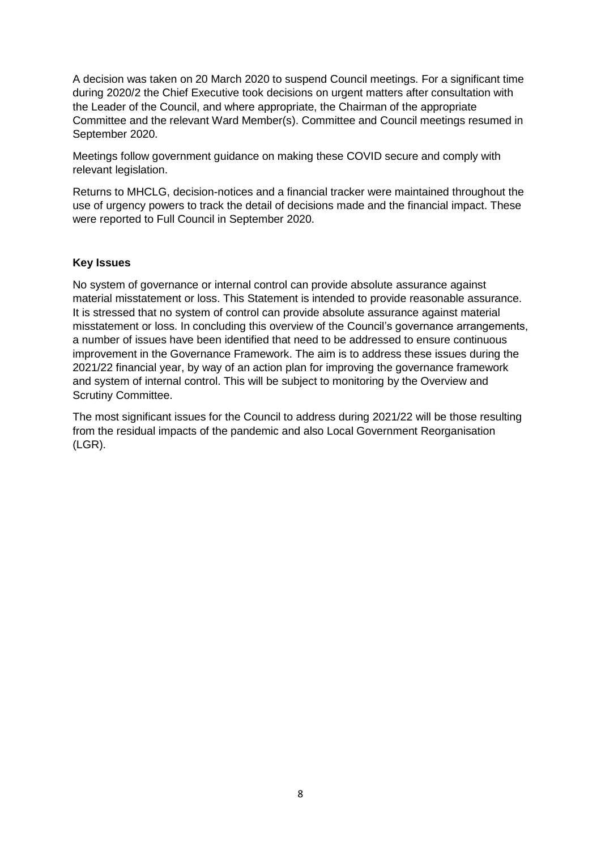A decision was taken on 20 March 2020 to suspend Council meetings. For a significant time during 2020/2 the Chief Executive took decisions on urgent matters after consultation with the Leader of the Council, and where appropriate, the Chairman of the appropriate Committee and the relevant Ward Member(s). Committee and Council meetings resumed in September 2020.

Meetings follow government guidance on making these COVID secure and comply with relevant legislation.

Returns to MHCLG, decision-notices and a financial tracker were maintained throughout the use of urgency powers to track the detail of decisions made and the financial impact. These were reported to Full Council in September 2020.

#### **Key Issues**

No system of governance or internal control can provide absolute assurance against material misstatement or loss. This Statement is intended to provide reasonable assurance. It is stressed that no system of control can provide absolute assurance against material misstatement or loss. In concluding this overview of the Council's governance arrangements, a number of issues have been identified that need to be addressed to ensure continuous improvement in the Governance Framework. The aim is to address these issues during the 2021/22 financial year, by way of an action plan for improving the governance framework and system of internal control. This will be subject to monitoring by the Overview and Scrutiny Committee.

The most significant issues for the Council to address during 2021/22 will be those resulting from the residual impacts of the pandemic and also Local Government Reorganisation (LGR).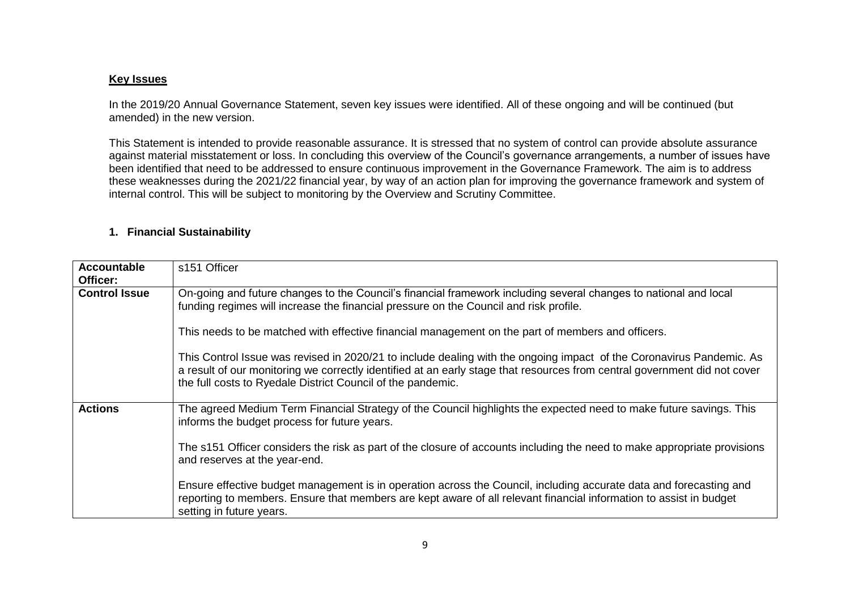#### **Key Issues**

In the 2019/20 Annual Governance Statement, seven key issues were identified. All of these ongoing and will be continued (but amended) in the new version.

This Statement is intended to provide reasonable assurance. It is stressed that no system of control can provide absolute assurance against material misstatement or loss. In concluding this overview of the Council's governance arrangements, a number of issues have been identified that need to be addressed to ensure continuous improvement in the Governance Framework. The aim is to address these weaknesses during the 2021/22 financial year, by way of an action plan for improving the governance framework and system of internal control. This will be subject to monitoring by the Overview and Scrutiny Committee.

#### **1. Financial Sustainability**

| <b>Accountable</b><br>Officer: | s151 Officer                                                                                                                                                                                                                                                                                                     |
|--------------------------------|------------------------------------------------------------------------------------------------------------------------------------------------------------------------------------------------------------------------------------------------------------------------------------------------------------------|
| <b>Control Issue</b>           | On-going and future changes to the Council's financial framework including several changes to national and local<br>funding regimes will increase the financial pressure on the Council and risk profile.                                                                                                        |
|                                | This needs to be matched with effective financial management on the part of members and officers.                                                                                                                                                                                                                |
|                                | This Control Issue was revised in 2020/21 to include dealing with the ongoing impact of the Coronavirus Pandemic. As<br>a result of our monitoring we correctly identified at an early stage that resources from central government did not cover<br>the full costs to Ryedale District Council of the pandemic. |
| <b>Actions</b>                 | The agreed Medium Term Financial Strategy of the Council highlights the expected need to make future savings. This<br>informs the budget process for future years.                                                                                                                                               |
|                                | The s151 Officer considers the risk as part of the closure of accounts including the need to make appropriate provisions<br>and reserves at the year-end.                                                                                                                                                        |
|                                | Ensure effective budget management is in operation across the Council, including accurate data and forecasting and<br>reporting to members. Ensure that members are kept aware of all relevant financial information to assist in budget<br>setting in future years.                                             |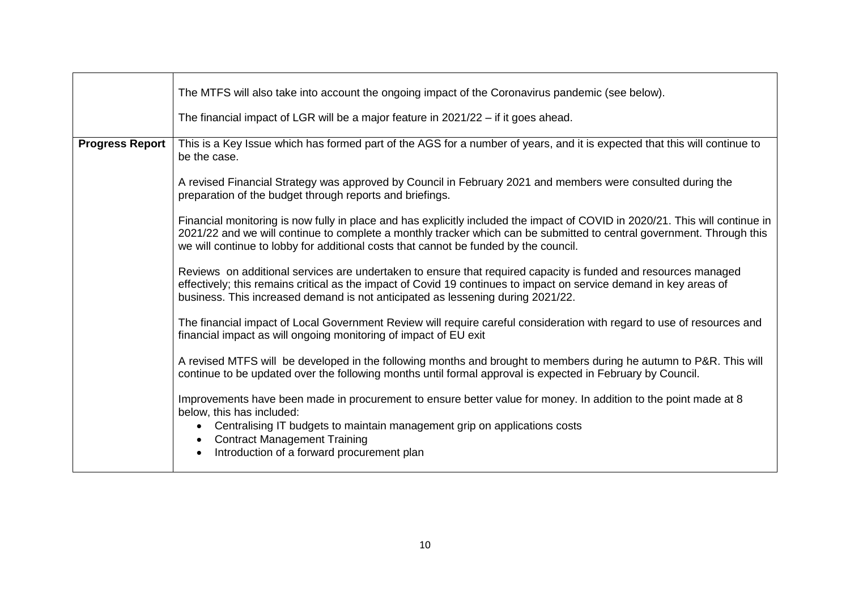|                        | The MTFS will also take into account the ongoing impact of the Coronavirus pandemic (see below).                                                                                                                                                                                                                                              |
|------------------------|-----------------------------------------------------------------------------------------------------------------------------------------------------------------------------------------------------------------------------------------------------------------------------------------------------------------------------------------------|
|                        | The financial impact of LGR will be a major feature in 2021/22 - if it goes ahead.                                                                                                                                                                                                                                                            |
| <b>Progress Report</b> | This is a Key Issue which has formed part of the AGS for a number of years, and it is expected that this will continue to<br>be the case.                                                                                                                                                                                                     |
|                        | A revised Financial Strategy was approved by Council in February 2021 and members were consulted during the<br>preparation of the budget through reports and briefings.                                                                                                                                                                       |
|                        | Financial monitoring is now fully in place and has explicitly included the impact of COVID in 2020/21. This will continue in<br>2021/22 and we will continue to complete a monthly tracker which can be submitted to central government. Through this<br>we will continue to lobby for additional costs that cannot be funded by the council. |
|                        | Reviews on additional services are undertaken to ensure that required capacity is funded and resources managed<br>effectively; this remains critical as the impact of Covid 19 continues to impact on service demand in key areas of<br>business. This increased demand is not anticipated as lessening during 2021/22.                       |
|                        | The financial impact of Local Government Review will require careful consideration with regard to use of resources and<br>financial impact as will ongoing monitoring of impact of EU exit                                                                                                                                                    |
|                        | A revised MTFS will be developed in the following months and brought to members during he autumn to P&R. This will<br>continue to be updated over the following months until formal approval is expected in February by Council.                                                                                                              |
|                        | Improvements have been made in procurement to ensure better value for money. In addition to the point made at 8<br>below, this has included:                                                                                                                                                                                                  |
|                        | Centralising IT budgets to maintain management grip on applications costs<br>$\bullet$<br><b>Contract Management Training</b><br>Introduction of a forward procurement plan<br>$\bullet$                                                                                                                                                      |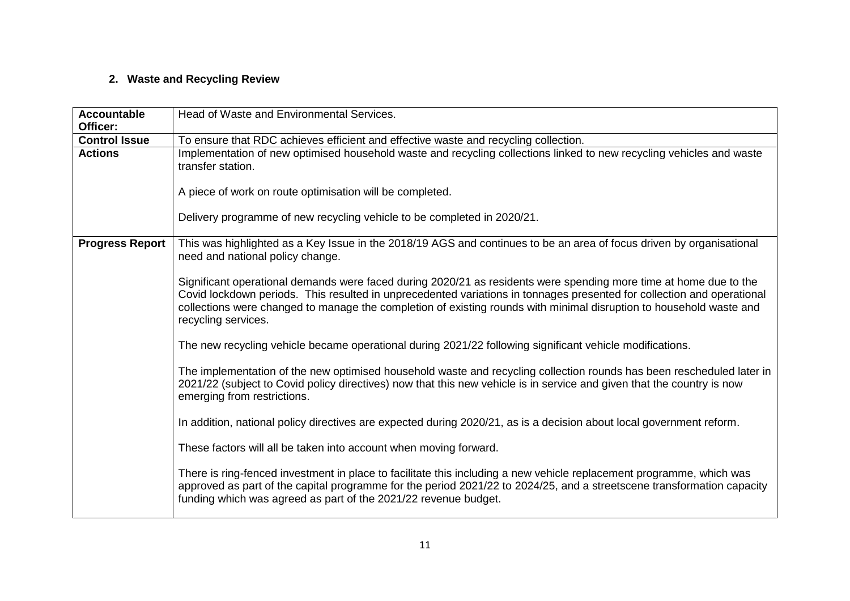# **2. Waste and Recycling Review**

| <b>Accountable</b><br>Officer: | Head of Waste and Environmental Services.                                                                                                                                                                                                                                                                                                                                                 |
|--------------------------------|-------------------------------------------------------------------------------------------------------------------------------------------------------------------------------------------------------------------------------------------------------------------------------------------------------------------------------------------------------------------------------------------|
| <b>Control Issue</b>           | To ensure that RDC achieves efficient and effective waste and recycling collection.                                                                                                                                                                                                                                                                                                       |
| <b>Actions</b>                 | Implementation of new optimised household waste and recycling collections linked to new recycling vehicles and waste<br>transfer station.                                                                                                                                                                                                                                                 |
|                                | A piece of work on route optimisation will be completed.                                                                                                                                                                                                                                                                                                                                  |
|                                | Delivery programme of new recycling vehicle to be completed in 2020/21.                                                                                                                                                                                                                                                                                                                   |
| <b>Progress Report</b>         | This was highlighted as a Key Issue in the 2018/19 AGS and continues to be an area of focus driven by organisational<br>need and national policy change.                                                                                                                                                                                                                                  |
|                                | Significant operational demands were faced during 2020/21 as residents were spending more time at home due to the<br>Covid lockdown periods. This resulted in unprecedented variations in tonnages presented for collection and operational<br>collections were changed to manage the completion of existing rounds with minimal disruption to household waste and<br>recycling services. |
|                                | The new recycling vehicle became operational during 2021/22 following significant vehicle modifications.                                                                                                                                                                                                                                                                                  |
|                                | The implementation of the new optimised household waste and recycling collection rounds has been rescheduled later in<br>2021/22 (subject to Covid policy directives) now that this new vehicle is in service and given that the country is now<br>emerging from restrictions.                                                                                                            |
|                                | In addition, national policy directives are expected during 2020/21, as is a decision about local government reform.                                                                                                                                                                                                                                                                      |
|                                | These factors will all be taken into account when moving forward.                                                                                                                                                                                                                                                                                                                         |
|                                | There is ring-fenced investment in place to facilitate this including a new vehicle replacement programme, which was<br>approved as part of the capital programme for the period 2021/22 to 2024/25, and a streetscene transformation capacity<br>funding which was agreed as part of the 2021/22 revenue budget.                                                                         |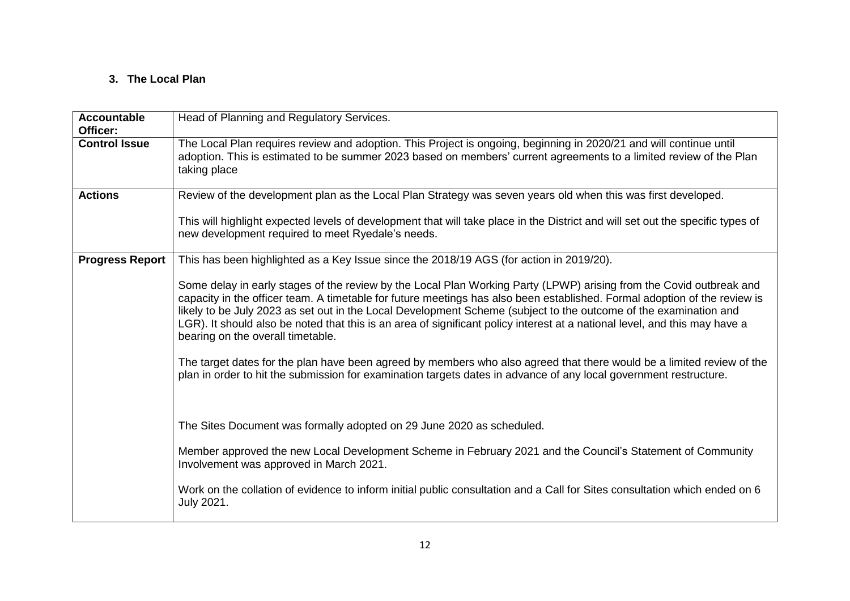### **3. The Local Plan**

| <b>Accountable</b><br>Officer: | Head of Planning and Regulatory Services.                                                                                                                                                                                                                                                                                                                                                                                                                                                                                               |
|--------------------------------|-----------------------------------------------------------------------------------------------------------------------------------------------------------------------------------------------------------------------------------------------------------------------------------------------------------------------------------------------------------------------------------------------------------------------------------------------------------------------------------------------------------------------------------------|
| <b>Control Issue</b>           | The Local Plan requires review and adoption. This Project is ongoing, beginning in 2020/21 and will continue until<br>adoption. This is estimated to be summer 2023 based on members' current agreements to a limited review of the Plan<br>taking place                                                                                                                                                                                                                                                                                |
| <b>Actions</b>                 | Review of the development plan as the Local Plan Strategy was seven years old when this was first developed.                                                                                                                                                                                                                                                                                                                                                                                                                            |
|                                | This will highlight expected levels of development that will take place in the District and will set out the specific types of<br>new development required to meet Ryedale's needs.                                                                                                                                                                                                                                                                                                                                                     |
| <b>Progress Report</b>         | This has been highlighted as a Key Issue since the 2018/19 AGS (for action in 2019/20).                                                                                                                                                                                                                                                                                                                                                                                                                                                 |
|                                | Some delay in early stages of the review by the Local Plan Working Party (LPWP) arising from the Covid outbreak and<br>capacity in the officer team. A timetable for future meetings has also been established. Formal adoption of the review is<br>likely to be July 2023 as set out in the Local Development Scheme (subject to the outcome of the examination and<br>LGR). It should also be noted that this is an area of significant policy interest at a national level, and this may have a<br>bearing on the overall timetable. |
|                                | The target dates for the plan have been agreed by members who also agreed that there would be a limited review of the<br>plan in order to hit the submission for examination targets dates in advance of any local government restructure.                                                                                                                                                                                                                                                                                              |
|                                | The Sites Document was formally adopted on 29 June 2020 as scheduled.                                                                                                                                                                                                                                                                                                                                                                                                                                                                   |
|                                | Member approved the new Local Development Scheme in February 2021 and the Council's Statement of Community<br>Involvement was approved in March 2021.                                                                                                                                                                                                                                                                                                                                                                                   |
|                                | Work on the collation of evidence to inform initial public consultation and a Call for Sites consultation which ended on 6<br>July 2021.                                                                                                                                                                                                                                                                                                                                                                                                |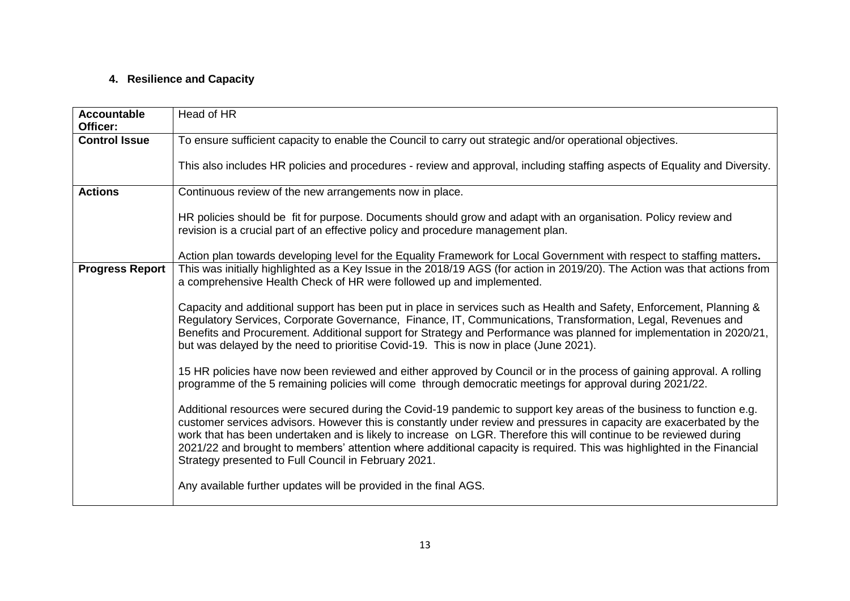# **4. Resilience and Capacity**

| <b>Accountable</b><br>Officer: | Head of HR                                                                                                                                                                                                                                                                                                                                                                                                                                                                                                                                           |
|--------------------------------|------------------------------------------------------------------------------------------------------------------------------------------------------------------------------------------------------------------------------------------------------------------------------------------------------------------------------------------------------------------------------------------------------------------------------------------------------------------------------------------------------------------------------------------------------|
| <b>Control Issue</b>           | To ensure sufficient capacity to enable the Council to carry out strategic and/or operational objectives.                                                                                                                                                                                                                                                                                                                                                                                                                                            |
|                                | This also includes HR policies and procedures - review and approval, including staffing aspects of Equality and Diversity.                                                                                                                                                                                                                                                                                                                                                                                                                           |
| <b>Actions</b>                 | Continuous review of the new arrangements now in place.                                                                                                                                                                                                                                                                                                                                                                                                                                                                                              |
|                                | HR policies should be fit for purpose. Documents should grow and adapt with an organisation. Policy review and<br>revision is a crucial part of an effective policy and procedure management plan.                                                                                                                                                                                                                                                                                                                                                   |
|                                | Action plan towards developing level for the Equality Framework for Local Government with respect to staffing matters.                                                                                                                                                                                                                                                                                                                                                                                                                               |
| <b>Progress Report</b>         | This was initially highlighted as a Key Issue in the 2018/19 AGS (for action in 2019/20). The Action was that actions from<br>a comprehensive Health Check of HR were followed up and implemented.                                                                                                                                                                                                                                                                                                                                                   |
|                                | Capacity and additional support has been put in place in services such as Health and Safety, Enforcement, Planning &<br>Regulatory Services, Corporate Governance, Finance, IT, Communications, Transformation, Legal, Revenues and<br>Benefits and Procurement. Additional support for Strategy and Performance was planned for implementation in 2020/21,<br>but was delayed by the need to prioritise Covid-19. This is now in place (June 2021).                                                                                                 |
|                                | 15 HR policies have now been reviewed and either approved by Council or in the process of gaining approval. A rolling<br>programme of the 5 remaining policies will come through democratic meetings for approval during 2021/22.                                                                                                                                                                                                                                                                                                                    |
|                                | Additional resources were secured during the Covid-19 pandemic to support key areas of the business to function e.g.<br>customer services advisors. However this is constantly under review and pressures in capacity are exacerbated by the<br>work that has been undertaken and is likely to increase on LGR. Therefore this will continue to be reviewed during<br>2021/22 and brought to members' attention where additional capacity is required. This was highlighted in the Financial<br>Strategy presented to Full Council in February 2021. |
|                                | Any available further updates will be provided in the final AGS.                                                                                                                                                                                                                                                                                                                                                                                                                                                                                     |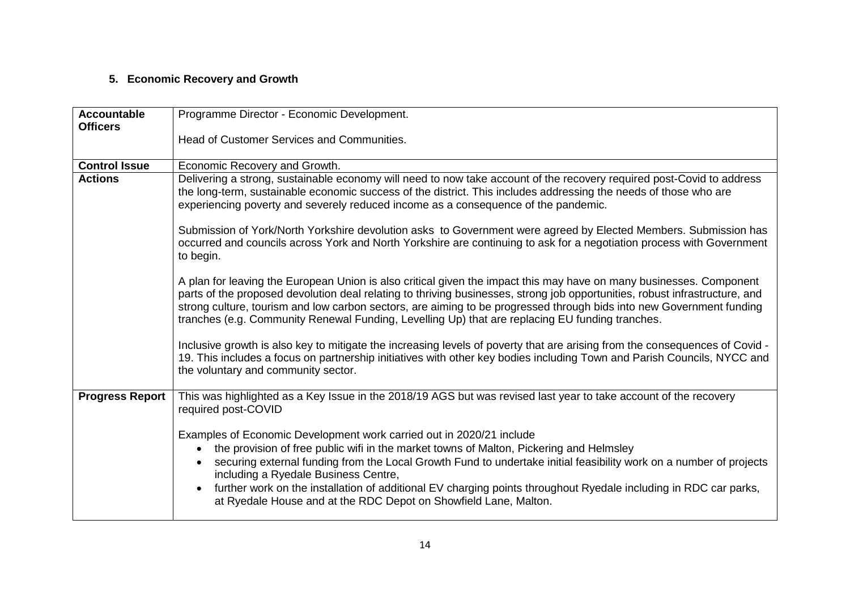# **5. Economic Recovery and Growth**

| <b>Accountable</b>     | Programme Director - Economic Development.                                                                                                                                                                                                                                                                                                                                                                                                                                                                                         |
|------------------------|------------------------------------------------------------------------------------------------------------------------------------------------------------------------------------------------------------------------------------------------------------------------------------------------------------------------------------------------------------------------------------------------------------------------------------------------------------------------------------------------------------------------------------|
| <b>Officers</b>        |                                                                                                                                                                                                                                                                                                                                                                                                                                                                                                                                    |
|                        | Head of Customer Services and Communities.                                                                                                                                                                                                                                                                                                                                                                                                                                                                                         |
| <b>Control Issue</b>   | Economic Recovery and Growth.                                                                                                                                                                                                                                                                                                                                                                                                                                                                                                      |
| <b>Actions</b>         | Delivering a strong, sustainable economy will need to now take account of the recovery required post-Covid to address<br>the long-term, sustainable economic success of the district. This includes addressing the needs of those who are<br>experiencing poverty and severely reduced income as a consequence of the pandemic.                                                                                                                                                                                                    |
|                        | Submission of York/North Yorkshire devolution asks to Government were agreed by Elected Members. Submission has<br>occurred and councils across York and North Yorkshire are continuing to ask for a negotiation process with Government<br>to begin.                                                                                                                                                                                                                                                                              |
|                        | A plan for leaving the European Union is also critical given the impact this may have on many businesses. Component<br>parts of the proposed devolution deal relating to thriving businesses, strong job opportunities, robust infrastructure, and<br>strong culture, tourism and low carbon sectors, are aiming to be progressed through bids into new Government funding<br>tranches (e.g. Community Renewal Funding, Levelling Up) that are replacing EU funding tranches.                                                      |
|                        | Inclusive growth is also key to mitigate the increasing levels of poverty that are arising from the consequences of Covid -<br>19. This includes a focus on partnership initiatives with other key bodies including Town and Parish Councils, NYCC and<br>the voluntary and community sector.                                                                                                                                                                                                                                      |
| <b>Progress Report</b> | This was highlighted as a Key Issue in the 2018/19 AGS but was revised last year to take account of the recovery<br>required post-COVID                                                                                                                                                                                                                                                                                                                                                                                            |
|                        | Examples of Economic Development work carried out in 2020/21 include<br>the provision of free public wifi in the market towns of Malton, Pickering and Helmsley<br>$\bullet$<br>securing external funding from the Local Growth Fund to undertake initial feasibility work on a number of projects<br>including a Ryedale Business Centre,<br>further work on the installation of additional EV charging points throughout Ryedale including in RDC car parks,<br>at Ryedale House and at the RDC Depot on Showfield Lane, Malton. |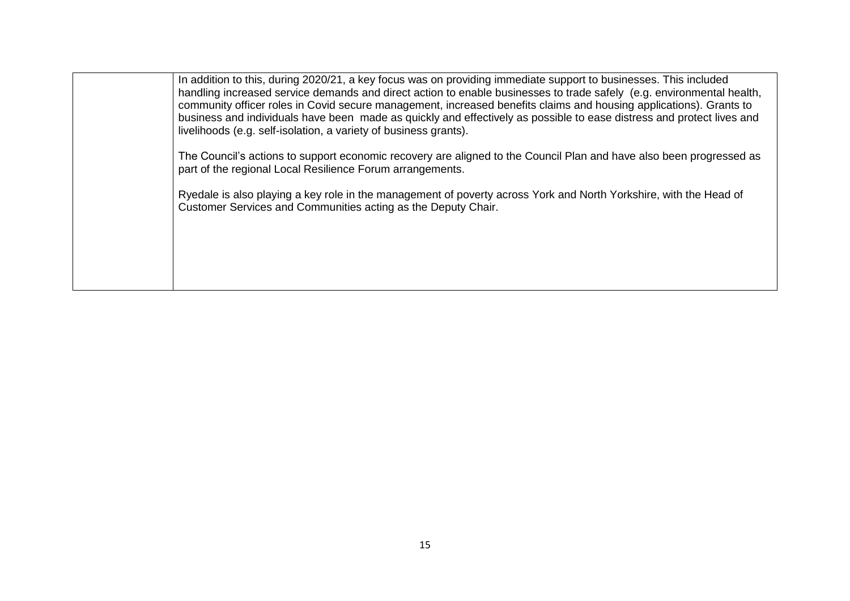| In addition to this, during 2020/21, a key focus was on providing immediate support to businesses. This included<br>handling increased service demands and direct action to enable businesses to trade safely (e.g. environmental health,<br>community officer roles in Covid secure management, increased benefits claims and housing applications). Grants to<br>business and individuals have been made as quickly and effectively as possible to ease distress and protect lives and |
|------------------------------------------------------------------------------------------------------------------------------------------------------------------------------------------------------------------------------------------------------------------------------------------------------------------------------------------------------------------------------------------------------------------------------------------------------------------------------------------|
| livelihoods (e.g. self-isolation, a variety of business grants).<br>The Council's actions to support economic recovery are aligned to the Council Plan and have also been progressed as<br>part of the regional Local Resilience Forum arrangements.                                                                                                                                                                                                                                     |
| Ryedale is also playing a key role in the management of poverty across York and North Yorkshire, with the Head of<br>Customer Services and Communities acting as the Deputy Chair.                                                                                                                                                                                                                                                                                                       |
|                                                                                                                                                                                                                                                                                                                                                                                                                                                                                          |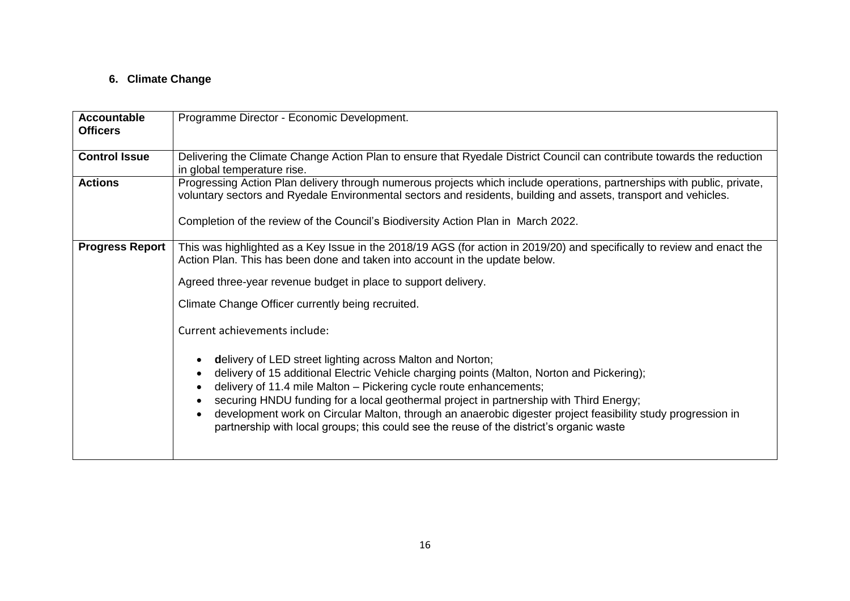# **6. Climate Change**

| <b>Accountable</b><br><b>Officers</b> | Programme Director - Economic Development.                                                                                                                                                                                                                                                                                                                                                                                                                                                                                        |
|---------------------------------------|-----------------------------------------------------------------------------------------------------------------------------------------------------------------------------------------------------------------------------------------------------------------------------------------------------------------------------------------------------------------------------------------------------------------------------------------------------------------------------------------------------------------------------------|
|                                       |                                                                                                                                                                                                                                                                                                                                                                                                                                                                                                                                   |
| <b>Control Issue</b>                  | Delivering the Climate Change Action Plan to ensure that Ryedale District Council can contribute towards the reduction<br>in global temperature rise.                                                                                                                                                                                                                                                                                                                                                                             |
| <b>Actions</b>                        | Progressing Action Plan delivery through numerous projects which include operations, partnerships with public, private,<br>voluntary sectors and Ryedale Environmental sectors and residents, building and assets, transport and vehicles.                                                                                                                                                                                                                                                                                        |
|                                       | Completion of the review of the Council's Biodiversity Action Plan in March 2022.                                                                                                                                                                                                                                                                                                                                                                                                                                                 |
| <b>Progress Report</b>                | This was highlighted as a Key Issue in the 2018/19 AGS (for action in 2019/20) and specifically to review and enact the<br>Action Plan. This has been done and taken into account in the update below.                                                                                                                                                                                                                                                                                                                            |
|                                       | Agreed three-year revenue budget in place to support delivery.                                                                                                                                                                                                                                                                                                                                                                                                                                                                    |
|                                       | Climate Change Officer currently being recruited.                                                                                                                                                                                                                                                                                                                                                                                                                                                                                 |
|                                       | Current achievements include:                                                                                                                                                                                                                                                                                                                                                                                                                                                                                                     |
|                                       | delivery of LED street lighting across Malton and Norton;<br>delivery of 15 additional Electric Vehicle charging points (Malton, Norton and Pickering);<br>delivery of 11.4 mile Malton - Pickering cycle route enhancements;<br>securing HNDU funding for a local geothermal project in partnership with Third Energy;<br>development work on Circular Malton, through an anaerobic digester project feasibility study progression in<br>partnership with local groups; this could see the reuse of the district's organic waste |